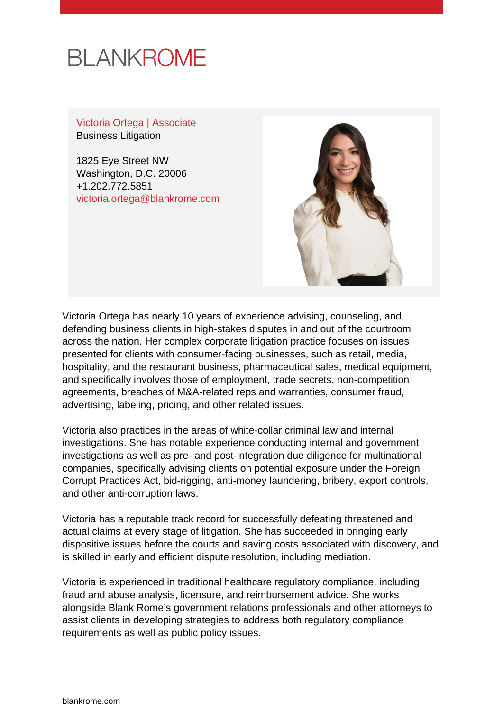

Victoria Ortega | Associate Business Litigation

1825 Eye Street NW Washington, D.C. 20006 +1.202.772.5851 [victoria.ortega@blankrome.com](mailto:victoria.ortega@blankrome.com)



Victoria Ortega has nearly 10 years of experience advising, counseling, and defending business clients in high-stakes disputes in and out of the courtroom across the nation. Her complex corporate litigation practice focuses on issues presented for clients with consumer-facing businesses, such as retail, media, hospitality, and the restaurant business, pharmaceutical sales, medical equipment, and specifically involves those of employment, trade secrets, non-competition agreements, breaches of M&A-related reps and warranties, consumer fraud, advertising, labeling, pricing, and other related issues.

Victoria also practices in the areas of white-collar criminal law and internal investigations. She has notable experience conducting internal and government investigations as well as pre- and post-integration due diligence for multinational companies, specifically advising clients on potential exposure under the Foreign Corrupt Practices Act, bid-rigging, anti-money laundering, bribery, export controls, and other anti-corruption laws.

Victoria has a reputable track record for successfully defeating threatened and actual claims at every stage of litigation. She has succeeded in bringing early dispositive issues before the courts and saving costs associated with discovery, and is skilled in early and efficient dispute resolution, including mediation.

Victoria is experienced in traditional healthcare regulatory compliance, including fraud and abuse analysis, licensure, and reimbursement advice. She works alongside Blank Rome's government relations professionals and other attorneys to assist clients in developing strategies to address both regulatory compliance requirements as well as public policy issues.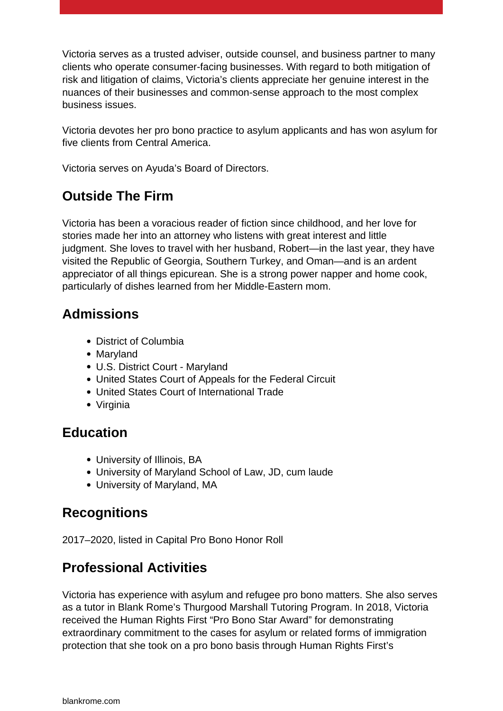Victoria serves as a trusted adviser, outside counsel, and business partner to many clients who operate consumer-facing businesses. With regard to both mitigation of risk and litigation of claims, Victoria's clients appreciate her genuine interest in the nuances of their businesses and common-sense approach to the most complex business issues.

Victoria devotes her pro bono practice to asylum applicants and has won asylum for five clients from Central America.

Victoria serves on Ayuda's Board of Directors.

# **Outside The Firm**

Victoria has been a voracious reader of fiction since childhood, and her love for stories made her into an attorney who listens with great interest and little judgment. She loves to travel with her husband, Robert—in the last year, they have visited the Republic of Georgia, Southern Turkey, and Oman—and is an ardent appreciator of all things epicurean. She is a strong power napper and home cook, particularly of dishes learned from her Middle-Eastern mom.

### **Admissions**

- District of Columbia
- Maryland
- U.S. District Court Maryland
- United States Court of Appeals for the Federal Circuit
- United States Court of International Trade
- Virginia

## **Education**

- University of Illinois, BA
- University of Maryland School of Law, JD, cum laude
- University of Maryland, MA

# **Recognitions**

2017–2020, listed in Capital Pro Bono Honor Roll

# **Professional Activities**

Victoria has experience with asylum and refugee pro bono matters. She also serves as a tutor in Blank Rome's Thurgood Marshall Tutoring Program. In 2018, Victoria received the Human Rights First "Pro Bono Star Award" for demonstrating extraordinary commitment to the cases for asylum or related forms of immigration protection that she took on a pro bono basis through Human Rights First's